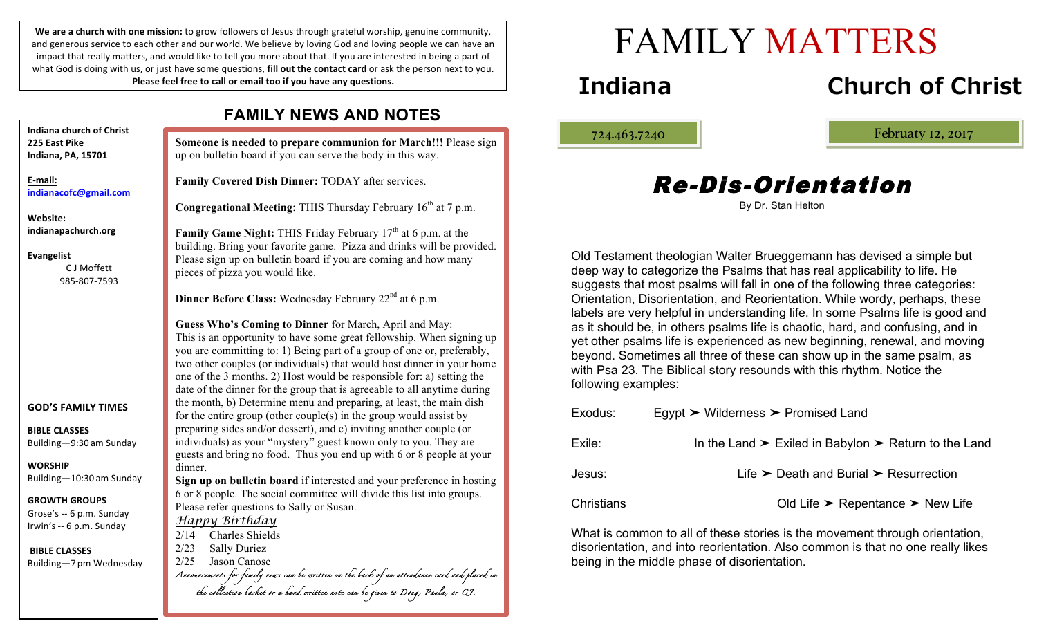We are a church with one mission: to grow followers of Jesus through grateful worship, genuine community, and generous service to each other and our world. We believe by loving God and loving people we can have an impact that really matters, and would like to tell you more about that. If you are interested in being a part of what God is doing with us, or just have some questions, **fill out the contact card** or ask the person next to you. Please feel free to call or email too if you have any questions.

up on bulletin board if you can serve the body in this way. **Family Covered Dish Dinner:** TODAY after services. pieces of pizza you would like. **Dinner Before Class:** Wednesday February 22<sup>nd</sup> at 6 p.m. **Guess Who's Coming to Dinner** for March, April and May: dinner. **Sign up on bulletin board** if interested and your preference in hosting Please refer questions to Sally or Susan. *Happy Birthday* 2/14 Charles Shields 2/23 Sally Duriez 2/25 Jason Canose *Announcements for family news can be written on the back of an attendance card and placed in the collection basket or a hand written note can be given to Doug, Paula, or CJ.* **Indiana church of Christ 225 East Pike Indiana, PA, 15701 E-mail: indianacofc@gmail.com Website: indianapachurch.org Evangelist** C J Moffett 985-807-7593 **GOD'S FAMILY TIMES BIBLE CLASSES** Building—9:30 am Sunday **WORSHIP** Building—10:30 am Sunday **GROWTH GROUPS** Grose's -- 6 p.m. Sunday Irwin's -- 6 p.m. Sunday **BIBLE CLASSES** Building—7 pm Wednesday

## **FAMILY NEWS AND NOTES**

**Someone is needed to prepare communion for March!!!** Please sign

Congregational Meeting: THIS Thursday February 16<sup>th</sup> at 7 p.m.

**Family Game Night:** THIS Friday February 17<sup>th</sup> at 6 p.m. at the building. Bring your favorite game. Pizza and drinks will be provided. Please sign up on bulletin board if you are coming and how many

This is an opportunity to have some great fellowship. When signing up you are committing to: 1) Being part of a group of one or, preferably, two other couples (or individuals) that would host dinner in your home one of the 3 months. 2) Host would be responsible for: a) setting the date of the dinner for the group that is agreeable to all anytime during the month, b) Determine menu and preparing, at least, the main dish for the entire group (other couple(s) in the group would assist by preparing sides and/or dessert), and c) inviting another couple (or individuals) as your "mystery" guest known only to you. They are guests and bring no food. Thus you end up with 6 or 8 people at your

6 or 8 people. The social committee will divide this list into groups.

# FAMILY MATTERS

## **Indiana Church of Christ**

ļ

724.463.7240 Februaty 12, 2017

## Re-Dis-Orientation

|  |  |  | By Dr. Stan Helton |
|--|--|--|--------------------|
|--|--|--|--------------------|

Old Testament theologian Walter Brueggemann has devised a simple but deep way to categorize the Psalms that has real applicability to life. He suggests that most psalms will fall in one of the following three categories: Orientation, Disorientation, and Reorientation. While wordy, perhaps, these labels are very helpful in understanding life. In some Psalms life is good and as it should be, in others psalms life is chaotic, hard, and confusing, and in yet other psalms life is experienced as new beginning, renewal, and moving beyond. Sometimes all three of these can show up in the same psalm, as with Psa 23. The Biblical story resounds with this rhythm. Notice the following examples:

| Exodus:    | Egypt $\triangleright$ Wilderness $\triangleright$ Promised Land                   |  |  |
|------------|------------------------------------------------------------------------------------|--|--|
| Exile:     | In the Land $\triangleright$ Exiled in Babylon $\triangleright$ Return to the Land |  |  |
| Jesus:     | Life $\triangleright$ Death and Burial $\triangleright$ Resurrection               |  |  |
| Christians | Old Life $\triangleright$ Repentance $\triangleright$ New Life                     |  |  |

What is common to all of these stories is the movement through orientation, disorientation, and into reorientation. Also common is that no one really likes being in the middle phase of disorientation.